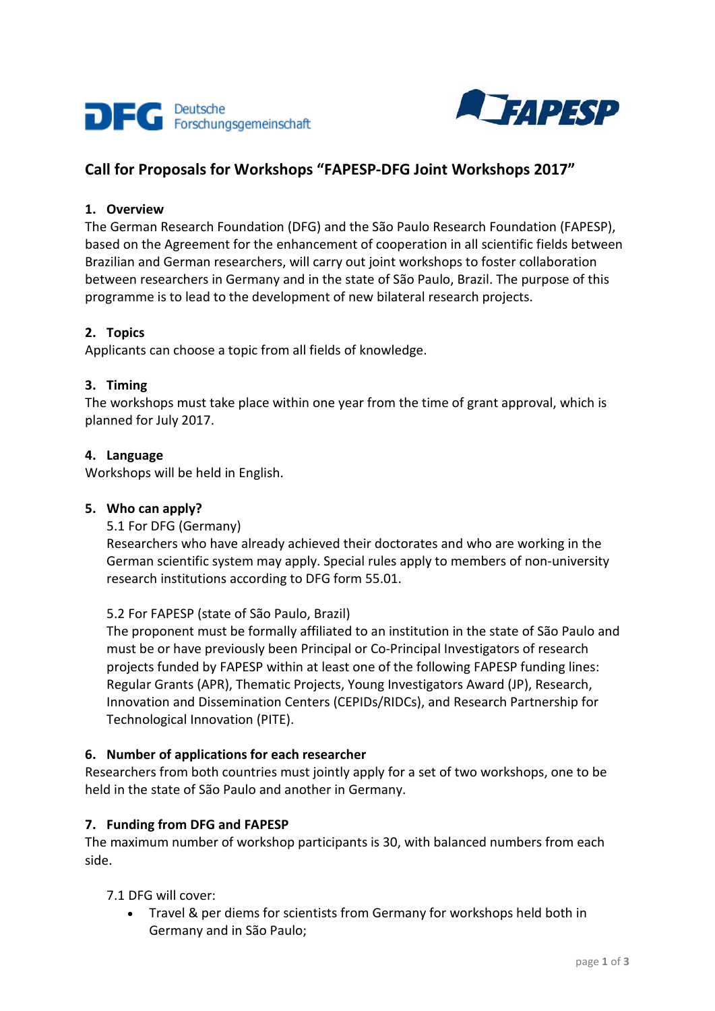



# **Call for Proposals for Workshops "FAPESP-DFG Joint Workshops 2017"**

### **1. Overview**

The German Research Foundation (DFG) and the São Paulo Research Foundation (FAPESP), based on the Agreement for the enhancement of cooperation in all scientific fields between Brazilian and German researchers, will carry out joint workshops to foster collaboration between researchers in Germany and in the state of São Paulo, Brazil. The purpose of this programme is to lead to the development of new bilateral research projects.

### **2. Topics**

Applicants can choose a topic from all fields of knowledge.

### **3. Timing**

The workshops must take place within one year from the time of grant approval, which is planned for July 2017.

### **4. Language**

Workshops will be held in English.

### **5. Who can apply?**

5.1 For DFG (Germany)

Researchers who have already achieved their doctorates and who are working in the German scientific system may apply. Special rules apply to members of non-university research institutions according to DFG form 55.01.

### 5.2 For FAPESP (state of São Paulo, Brazil)

The proponent must be formally affiliated to an institution in the state of São Paulo and must be or have previously been Principal or Co-Principal Investigators of research projects funded by FAPESP within at least one of the following FAPESP funding lines: Regular Grants (APR), Thematic Projects, Young Investigators Award (JP), Research, Innovation and Dissemination Centers (CEPIDs/RIDCs), and Research Partnership for Technological Innovation (PITE).

### **6. Number of applications for each researcher**

Researchers from both countries must jointly apply for a set of two workshops, one to be held in the state of São Paulo and another in Germany.

### **7. Funding from DFG and FAPESP**

The maximum number of workshop participants is 30, with balanced numbers from each side.

### 7.1 DFG will cover:

• Travel & per diems for scientists from Germany for workshops held both in Germany and in São Paulo;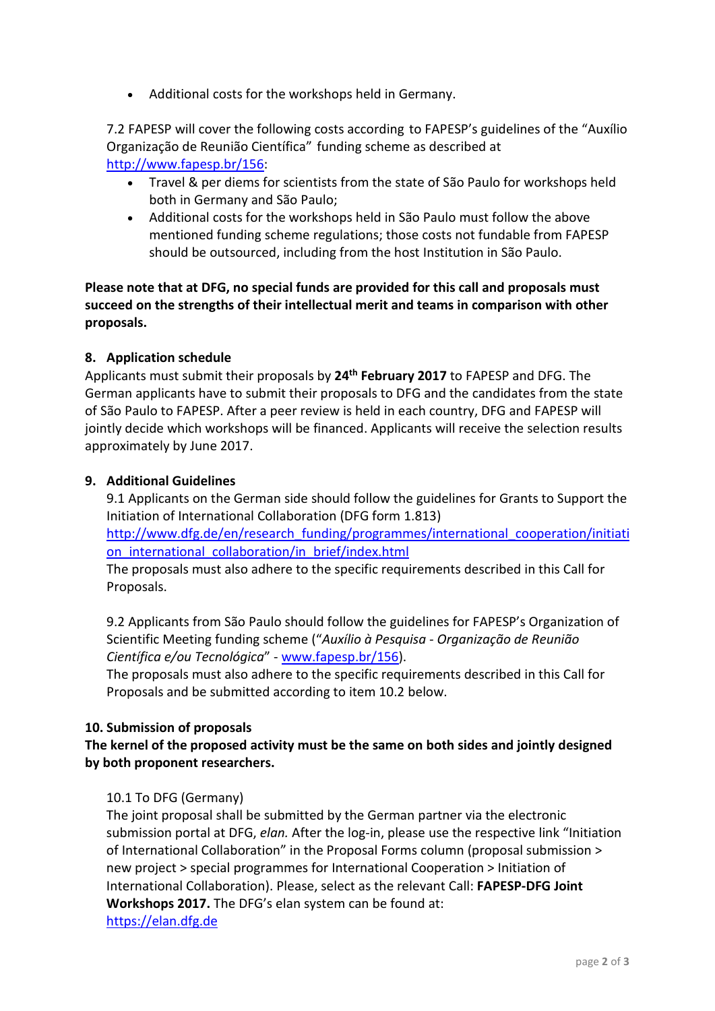• Additional costs for the workshops held in Germany.

7.2 FAPESP will cover the following costs according to FAPESP's guidelines of the ["Auxílio](http://www.fapesp.br/156)  [Organização de Reunião Científica"](http://www.fapesp.br/156) funding scheme as described at [http://www.fapesp.br/156:](http://www.fapesp.br/156)

- Travel & per diems for scientists from the state of São Paulo for workshops held both in Germany and São Paulo;
- Additional costs for the workshops held in São Paulo must follow the above mentioned funding scheme regulations; those costs not fundable from FAPESP should be outsourced, including from the host Institution in São Paulo.

**Please note that at DFG, no special funds are provided for this call and proposals must succeed on the strengths of their intellectual merit and teams in comparison with other proposals.**

### **8. Application schedule**

Applicants must submit their proposals by **24th February 2017** to FAPESP and DFG. The German applicants have to submit their proposals to DFG and the candidates from the state of São Paulo to FAPESP. After a peer review is held in each country, DFG and FAPESP will jointly decide which workshops will be financed. Applicants will receive the selection results approximately by June 2017.

### **9. Additional Guidelines**

9.1 Applicants on the German side should follow the guidelines for Grants to Support the Initiation of International Collaboration (DFG form 1.813)

[http://www.dfg.de/en/research\\_funding/programmes/international\\_cooperation/initiati](http://www.dfg.de/en/research_funding/programmes/international_cooperation/initiation_international_collaboration/in_brief/index.html) on international collaboration/in brief/index.html

The proposals must also adhere to the specific requirements described in this Call for Proposals.

9.2 Applicants from São Paulo should follow the guidelines for FAPESP's Organization of Scientific Meeting funding scheme ("*Auxílio à Pesquisa - Organização de Reunião Científica e/ou Tecnológica*" - [www.fapesp.br/156\)](http://www.fapesp.br/156).

The proposals must also adhere to the specific requirements described in this Call for Proposals and be submitted according to item 10.2 below.

### **10. Submission of proposals**

# **The kernel of the proposed activity must be the same on both sides and jointly designed by both proponent researchers.**

### 10.1 To DFG (Germany)

The joint proposal shall be submitted by the German partner via the electronic submission portal at DFG, *elan.* After the log-in, please use the respective link "Initiation of International Collaboration" in the Proposal Forms column (proposal submission > new project > special programmes for International Cooperation > Initiation of International Collaboration). Please, select as the relevant Call: **FAPESP-DFG Joint Workshops 2017.** The DFG's elan system can be found at: [https://elan.dfg.de](https://elan.dfg.de/)